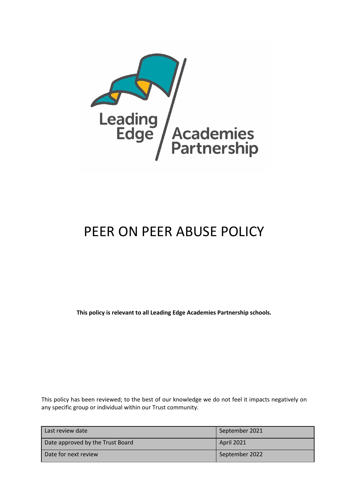

# PEER ON PEER ABUSE POLICY

**This policy is relevant to all Leading Edge Academies Partnership schools.**

This policy has been reviewed; to the best of our knowledge we do not feel it impacts negatively on any specific group or individual within our Trust community.

| Last review date                 | September 2021    |
|----------------------------------|-------------------|
| Date approved by the Trust Board | <b>April 2021</b> |
| Date for next review             | September 2022    |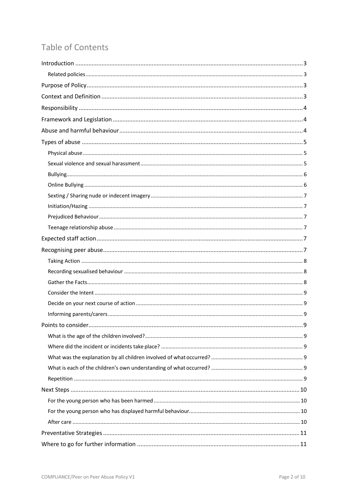# Table of Contents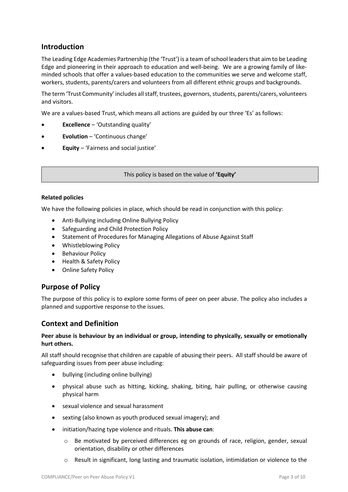# **Introduction**

The Leading Edge Academies Partnership (the 'Trust') is a team of school leaders that aim to be Leading Edge and pioneering in their approach to education and well-being. We are a growing family of likeminded schools that offer a values-based education to the communities we serve and welcome staff, workers, students, parents/carers and volunteers from all different ethnic groups and backgrounds.

The term 'Trust Community' includes all staff, trustees, governors, students, parents/carers, volunteers and visitors.

We are a values-based Trust, which means all actions are guided by our three 'Es' as follows:

- **Excellence** 'Outstanding quality'
- **Evolution** 'Continuous change'
- **Equity** 'Fairness and social justice'

This policy is based on the value of **'Equity'**

#### **Related policies**

We have the following policies in place, which should be read in conjunction with this policy:

- Anti-Bullying including Online Bullying Policy
- Safeguarding and Child Protection Policy
- Statement of Procedures for Managing Allegations of Abuse Against Staff
- Whistleblowing Policy
- Behaviour Policy
- Health & Safety Policy
- Online Safety Policy

# **Purpose of Policy**

The purpose of this policy is to explore some forms of peer on peer abuse. The policy also includes a planned and supportive response to the issues.

# **Context and Definition**

#### **Peer abuse is behaviour by an individual or group, intending to physically, sexually or emotionally hurt others.**

All staff should recognise that children are capable of abusing their peers. All staff should be aware of safeguarding issues from peer abuse including:

- bullying (including online bullying)
- physical abuse such as hitting, kicking, shaking, biting, hair pulling, or otherwise causing physical harm
- sexual violence and sexual harassment
- sexting (also known as youth produced sexual imagery); and
- initiation/hazing type violence and rituals. **This abuse can**:
	- o Be motivated by perceived differences eg on grounds of race, religion, gender, sexual orientation, disability or other differences
	- o Result in significant, long lasting and traumatic isolation, intimidation or violence to the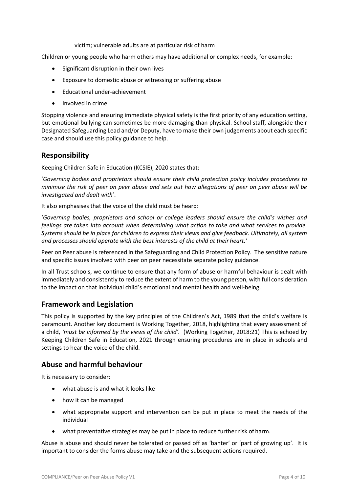victim; vulnerable adults are at particular risk of harm

Children or young people who harm others may have additional or complex needs, for example:

- Significant disruption in their own lives
- Exposure to domestic abuse or witnessing or suffering abuse
- Educational under-achievement
- Involved in crime

Stopping violence and ensuring immediate physical safety is the first priority of any education setting, but emotional bullying can sometimes be more damaging than physical. School staff, alongside their Designated Safeguarding Lead and/or Deputy, have to make their own judgements about each specific case and should use this policy guidance to help.

# **Responsibility**

Keeping Children Safe in Education (KCSIE), 2020 states that:

'*Governing bodies and proprietors should ensure their child protection policy includes procedures to minimise the risk of peer on peer abuse and sets out how allegations of peer on peer abuse will be investigated and dealt with*'.

It also emphasises that the voice of the child must be heard:

'*Governing bodies, proprietors and school or college leaders should ensure the child's wishes and feelings are taken into account when determining what action to take and what services to provide. Systems should be in place for children to express their views and give feedback. Ultimately, all system and processes should operate with the best interests of the child at their heart.'*

Peer on Peer abuse is referenced in the Safeguarding and Child Protection Policy. The sensitive nature and specific issues involved with peer on peer necessitate separate policy guidance.

In all Trust schools, we continue to ensure that any form of abuse or harmful behaviour is dealt with immediately and consistently to reduce the extent of harm to the young person, with full consideration to the impact on that individual child's emotional and mental health and well-being.

# **Framework and Legislation**

This policy is supported by the key principles of the Children's Act, 1989 that the child's welfare is paramount. Another key document is Working Together, 2018, highlighting that every assessment of a child, *'must be informed by the views of the child'.* (Working Together, 2018:21) This is echoed by Keeping Children Safe in Education, 2021 through ensuring procedures are in place in schools and settings to hear the voice of the child.

# **Abuse and harmful behaviour**

It is necessary to consider:

- what abuse is and what it looks like
- how it can be managed
- what appropriate support and intervention can be put in place to meet the needs of the individual
- what preventative strategies may be put in place to reduce further risk of harm.

Abuse is abuse and should never be tolerated or passed off as 'banter' or 'part of growing up'. It is important to consider the forms abuse may take and the subsequent actions required.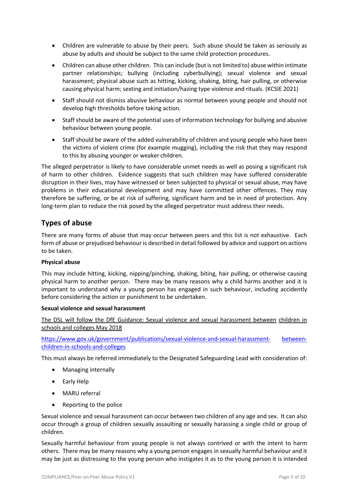- Children are vulnerable to abuse by their peers. Such abuse should be taken as seriously as abuse by adults and should be subject to the same child protection procedures.
- Children can abuse other children. This can include (but is not limited to) abuse within intimate partner relationships; bullying (including cyberbullying); sexual violence and sexual harassment; physical abuse such as hitting, kicking, shaking, biting, hair pulling, or otherwise causing physical harm; sexting and initiation/hazing type violence and rituals. (KCSIE 2021)
- Staff should not dismiss abusive behaviour as normal between young people and should not develop high thresholds before taking action.
- Staff should be aware of the potential uses of information technology for bullying and abusive behaviour between young people.
- Staff should be aware of the added vulnerability of children and young people who have been the victims of violent crime (for example mugging), including the risk that they may respond to this by abusing younger or weaker children.

The alleged perpetrator is likely to have considerable unmet needs as well as posing a significant risk of harm to other children. Evidence suggests that such children may have suffered considerable disruption in their lives, may have witnessed or been subjected to physical or sexual abuse, may have problems in their educational development and may have committed other offences. They may therefore be suffering, or be at risk of suffering, significant harm and be in need of protection. Any long-term plan to reduce the risk posed by the alleged perpetrator must address their needs.

# **Types of abuse**

There are many forms of abuse that may occur between peers and this list is not exhaustive. Each form of abuse or prejudiced behaviour is described in detail followed by advice and support on actions to be taken.

#### **Physical abuse**

This may include hitting, kicking, nipping/pinching, shaking, biting, hair pulling, or otherwise causing physical harm to another person. There may be many reasons why a child harms another and it is important to understand why a young person has engaged in such behaviour, including accidently before considering the action or punishment to be undertaken.

#### **Sexual violence and sexual harassment**

The DSL will follow the DfE Guidance: Sexual violence and sexual harassment between children in schools and colleges May 2018

https://www.gov.uk/government/publications/sexual-violence-and-sexual-harassment- betweenchildren-in-schools-and-colleges

This must always be referred immediately to the Designated Safeguarding Lead with consideration of:

- Managing internally
- Early Help
- MARU referral
- Reporting to the police

Sexual violence and sexual harassment can occur between two children of any age and sex. It can also occur through a group of children sexually assaulting or sexually harassing a single child or group of children.

Sexually harmful behaviour from young people is not always contrived or with the intent to harm others. There may be many reasons why a young person engages in sexually harmful behaviour and it may be just as distressing to the young person who instigates it as to the young person it is intended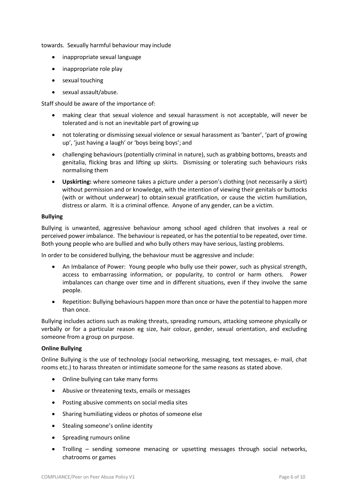towards. Sexually harmful behaviour may include

- inappropriate sexual language
- inappropriate role play
- sexual touching
- sexual assault/abuse.

Staff should be aware of the importance of:

- making clear that sexual violence and sexual harassment is not acceptable, will never be tolerated and is not an inevitable part of growing up
- not tolerating or dismissing sexual violence or sexual harassment as 'banter', 'part of growing up', 'just having a laugh' or 'boys being boys'; and
- challenging behaviours (potentially criminal in nature), such as grabbing bottoms, breasts and genitalia, flicking bras and lifting up skirts. Dismissing or tolerating such behaviours risks normalising them
- **Upskirting:** where someone takes a picture under a person's clothing (not necessarily a skirt) without permission and or knowledge, with the intention of viewing their genitals or buttocks (with or without underwear) to obtain sexual gratification, or cause the victim humiliation, distress or alarm. It is a criminal offence. Anyone of any gender, can be a victim.

#### **Bullying**

Bullying is unwanted, aggressive behaviour among school aged children that involves a real or perceived power imbalance. The behaviour is repeated, or has the potential to be repeated, over time. Both young people who are bullied and who bully others may have serious, lasting problems.

In order to be considered bullying, the behaviour must be aggressive and include:

- An Imbalance of Power: Young people who bully use their power, such as physical strength, access to embarrassing information, or popularity, to control or harm others. Power imbalances can change over time and in different situations, even if they involve the same people.
- Repetition: Bullying behaviours happen more than once or have the potential to happen more than once.

Bullying includes actions such as making threats, spreading rumours, attacking someone physically or verbally or for a particular reason eg size, hair colour, gender, sexual orientation, and excluding someone from a group on purpose.

#### **Online Bullying**

Online Bullying is the use of technology (social networking, messaging, text messages, e- mail, chat rooms etc.) to harass threaten or intimidate someone for the same reasons as stated above.

- Online bullying can take many forms
- Abusive or threatening texts, emails or messages
- Posting abusive comments on social media sites
- Sharing humiliating videos or photos of someone else
- Stealing someone's online identity
- Spreading rumours online
- Trolling sending someone menacing or upsetting messages through social networks, chatrooms or games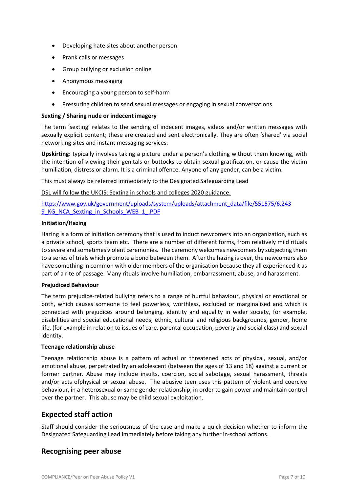- Developing hate sites about another person
- Prank calls or messages
- Group bullying or exclusion online
- Anonymous messaging
- Encouraging a young person to self-harm
- Pressuring children to send sexual messages or engaging in sexual conversations

#### **Sexting / Sharing nude or indecent imagery**

The term 'sexting' relates to the sending of indecent images, videos and/or written messages with sexually explicit content; these are created and sent electronically. They are often 'shared' via social networking sites and instant messaging services.

**Upskirting:** typically involves taking a picture under a person's clothing without them knowing, with the intention of viewing their genitals or buttocks to obtain sexual gratification, or cause the victim humiliation, distress or alarm. It is a criminal offence. Anyone of any gender, can be a victim.

This must always be referred immediately to the Designated Safeguarding Lead

DSL will follow the UKCIS: Sexting in schools and colleges 2020 guidance.

https://www.gov.uk/government/uploads/system/uploads/attachment\_data/file/551575/6.243 9 KG NCA Sexting in Schools WEB 1 .PDF

#### **Initiation/Hazing**

Hazing is a form of initiation ceremony that is used to induct newcomers into an organization, such as a private school, sports team etc. There are a number of different forms, from relatively mild rituals to severe and sometimes violent ceremonies. The ceremony welcomes newcomers by subjecting them to a series of trials which promote a bond between them. After the hazing is over, the newcomers also have something in common with older members of the organisation because they all experienced it as part of a rite of passage. Many rituals involve humiliation, embarrassment, abuse, and harassment.

#### **Prejudiced Behaviour**

The term prejudice-related bullying refers to a range of hurtful behaviour, physical or emotional or both, which causes someone to feel powerless, worthless, excluded or marginalised and which is connected with prejudices around belonging, identity and equality in wider society, for example, disabilities and special educational needs, ethnic, cultural and religious backgrounds, gender, home life, (for example in relation to issues of care, parental occupation, poverty and social class) and sexual identity.

#### **Teenage relationship abuse**

Teenage relationship abuse is a pattern of actual or threatened acts of physical, sexual, and/or emotional abuse, perpetrated by an adolescent (between the ages of 13 and 18) against a current or former partner. Abuse may include insults, coercion, social sabotage, sexual harassment, threats and/or acts ofphysical or sexual abuse. The abusive teen uses this pattern of violent and coercive behaviour, in a heterosexual or same gender relationship, in order to gain power and maintain control over the partner. This abuse may be child sexual exploitation.

# **Expected staff action**

Staff should consider the seriousness of the case and make a quick decision whether to inform the Designated Safeguarding Lead immediately before taking any further in-school actions.

# **Recognising peer abuse**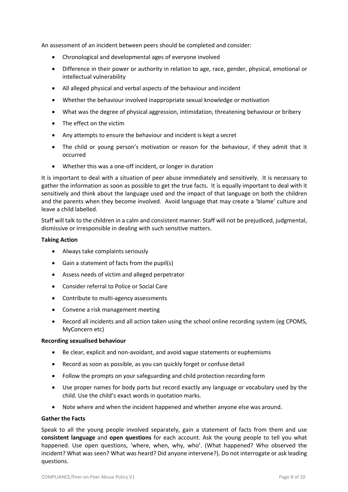An assessment of an incident between peers should be completed and consider:

- Chronological and developmental ages of everyone involved
- Difference in their power or authority in relation to age, race, gender, physical, emotional or intellectual vulnerability
- All alleged physical and verbal aspects of the behaviour and incident
- Whether the behaviour involved inappropriate sexual knowledge or motivation
- What was the degree of physical aggression, intimidation, threatening behaviour or bribery
- The effect on the victim
- Any attempts to ensure the behaviour and incident is kept a secret
- The child or young person's motivation or reason for the behaviour, if they admit that it occurred
- Whether this was a one-off incident, or longer in duration

It is important to deal with a situation of peer abuse immediately and sensitively. It is necessary to gather the information as soon as possible to get the true facts. It is equally important to deal with it sensitively and think about the language used and the impact of that language on both the children and the parents when they become involved. Avoid language that may create a 'blame' culture and leave a child labelled.

Staff will talk to the children in a calm and consistent manner. Staff will not be prejudiced, judgmental, dismissive or irresponsible in dealing with such sensitive matters.

#### **Taking Action**

- Always take complaints seriously
- Gain a statement of facts from the pupil(s)
- Assess needs of victim and alleged perpetrator
- Consider referral to Police or Social Care
- Contribute to multi-agency assessments
- Convene a risk management meeting
- Record all incidents and all action taken using the school online recording system (eg CPOMS, MyConcern etc)

#### **Recording sexualised behaviour**

- Be clear, explicit and non-avoidant, and avoid vague statements or euphemisms
- Record as soon as possible, as you can quickly forget or confuse detail
- Follow the prompts on your safeguarding and child protection recording form
- Use proper names for body parts but record exactly any language or vocabulary used by the child. Use the child's exact words in quotation marks.
- Note where and when the incident happened and whether anyone else was around.

#### **Gather the Facts**

Speak to all the young people involved separately, gain a statement of facts from them and use **consistent language** and **open questions** for each account. Ask the young people to tell you what happened. Use open questions, 'where, when, why, who'. (What happened? Who observed the incident? What was seen? What was heard? Did anyone intervene?). Do not interrogate or ask leading questions.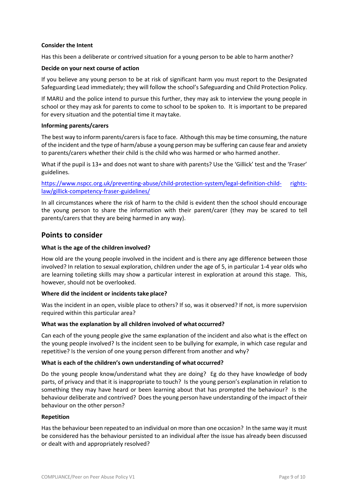#### **Consider the Intent**

Has this been a deliberate or contrived situation for a young person to be able to harm another?

#### **Decide on your next course of action**

If you believe any young person to be at risk of significant harm you must report to the Designated Safeguarding Lead immediately; they will follow the school's Safeguarding and Child Protection Policy.

If MARU and the police intend to pursue this further, they may ask to interview the young people in school or they may ask for parents to come to school to be spoken to. It is important to be prepared for every situation and the potential time it may take.

#### **Informing parents/carers**

The best way to inform parents/carers is face to face. Although this may be time consuming, the nature of the incident and the type of harm/abuse a young person may be suffering can cause fear and anxiety to parents/carers whether their child is the child who was harmed or who harmed another.

What if the pupil is 13+ and does not want to share with parents? Use the 'Gillick' test and the 'Fraser' guidelines.

https://www.nspcc.org.uk/preventing-abuse/child-protection-system/legal-definition-child- rightslaw/gillick-competency-fraser-guidelines/

In all circumstances where the risk of harm to the child is evident then the school should encourage the young person to share the information with their parent/carer (they may be scared to tell parents/carers that they are being harmed in any way).

#### **Points to consider**

#### **What is the age of the children involved?**

How old are the young people involved in the incident and is there any age difference between those involved? In relation to sexual exploration, children under the age of 5, in particular 1-4 year olds who are learning toileting skills may show a particular interest in exploration at around this stage. This, however, should not be overlooked.

#### **Where did the incident or incidents take place?**

Was the incident in an open, visible place to others? If so, was it observed? If not, is more supervision required within this particular area?

#### **What was the explanation by all children involved of what occurred?**

Can each of the young people give the same explanation of the incident and also what is the effect on the young people involved? Is the incident seen to be bullying for example, in which case regular and repetitive? Is the version of one young person different from another and why?

#### **What is each of the children's own understanding of what occurred?**

Do the young people know/understand what they are doing? Eg do they have knowledge of body parts, of privacy and that it is inappropriate to touch? Is the young person's explanation in relation to something they may have heard or been learning about that has prompted the behaviour? Is the behaviour deliberate and contrived? Does the young person have understanding of the impact of their behaviour on the other person?

#### **Repetition**

Has the behaviour been repeated to an individual on more than one occasion? In the same way it must be considered has the behaviour persisted to an individual after the issue has already been discussed or dealt with and appropriately resolved?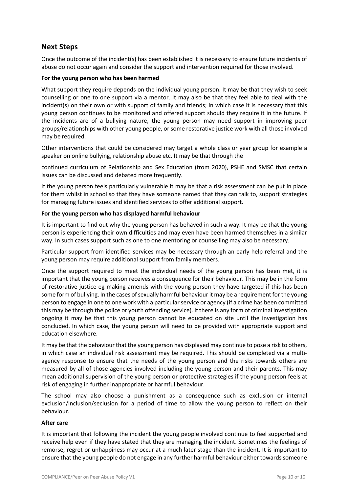# **Next Steps**

Once the outcome of the incident(s) has been established it is necessary to ensure future incidents of abuse do not occur again and consider the support and intervention required for those involved.

#### **For the young person who has been harmed**

What support they require depends on the individual young person. It may be that they wish to seek counselling or one to one support via a mentor. It may also be that they feel able to deal with the incident(s) on their own or with support of family and friends; in which case it is necessary that this young person continues to be monitored and offered support should they require it in the future. If the incidents are of a bullying nature, the young person may need support in improving peer groups/relationships with other young people, or some restorative justice work with all those involved may be required.

Other interventions that could be considered may target a whole class or year group for example a speaker on online bullying, relationship abuse etc. It may be that through the

continued curriculum of Relationship and Sex Education (from 2020), PSHE and SMSC that certain issues can be discussed and debated more frequently.

If the young person feels particularly vulnerable it may be that a risk assessment can be put in place for them whilst in school so that they have someone named that they can talk to, support strategies for managing future issues and identified services to offer additional support.

#### **For the young person who has displayed harmful behaviour**

It is important to find out why the young person has behaved in such a way. It may be that the young person is experiencing their own difficulties and may even have been harmed themselves in a similar way. In such cases support such as one to one mentoring or counselling may also be necessary.

Particular support from identified services may be necessary through an early help referral and the young person may require additional support from family members.

Once the support required to meet the individual needs of the young person has been met, it is important that the young person receives a consequence for their behaviour. This may be in the form of restorative justice eg making amends with the young person they have targeted if this has been some form of bullying. In the cases of sexually harmful behaviour it may be a requirement for the young person to engage in one to one work with a particular service or agency (if a crime has been committed this may be through the police or youth offending service). If there is any form of criminal investigation ongoing it may be that this young person cannot be educated on site until the investigation has concluded. In which case, the young person will need to be provided with appropriate support and education elsewhere.

It may be that the behaviour that the young person has displayed may continue to pose a risk to others, in which case an individual risk assessment may be required. This should be completed via a multiagency response to ensure that the needs of the young person and the risks towards others are measured by all of those agencies involved including the young person and their parents. This may mean additional supervision of the young person or protective strategies if the young person feels at risk of engaging in further inappropriate or harmful behaviour.

The school may also choose a punishment as a consequence such as exclusion or internal exclusion/inclusion/seclusion for a period of time to allow the young person to reflect on their behaviour.

#### **After care**

It is important that following the incident the young people involved continue to feel supported and receive help even if they have stated that they are managing the incident. Sometimes the feelings of remorse, regret or unhappiness may occur at a much later stage than the incident. It is important to ensure that the young people do not engage in any further harmful behaviour either towards someone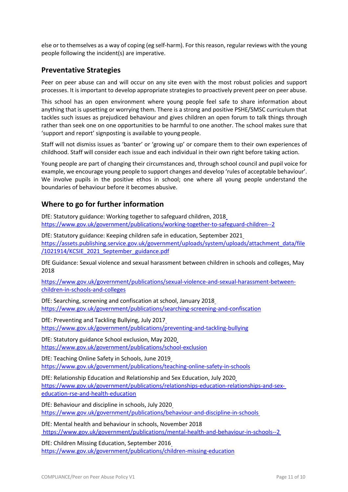else or to themselves as a way of coping (eg self-harm). For this reason, regular reviews with the young people following the incident(s) are imperative.

# **Preventative Strategies**

Peer on peer abuse can and will occur on any site even with the most robust policies and support processes. It is important to develop appropriate strategies to proactively prevent peer on peer abuse.

This school has an open environment where young people feel safe to share information about anything that is upsetting or worrying them. There is a strong and positive PSHE/SMSC curriculum that tackles such issues as prejudiced behaviour and gives children an open forum to talk things through rather than seek one on one opportunities to be harmful to one another. The school makes sure that 'support and report' signposting is available to young people.

Staff will not dismiss issues as 'banter' or 'growing up' or compare them to their own experiences of childhood. Staff will consider each issue and each individual in their own right before taking action.

Young people are part of changing their circumstances and, through school council and pupil voice for example, we encourage young people to support changes and develop 'rules of acceptable behaviour'. We involve pupils in the positive ethos in school; one where all young people understand the boundaries of behaviour before it becomes abusive.

# **Where to go for further information**

DfE: Statutory guidance: Working together to safeguard children, 2018 https://www.gov.uk/government/publications/working-together-to-safeguard-children--2

DfE: Statutory guidance: Keeping children safe in education, September 2021 https://assets.publishing.service.gov.uk/government/uploads/system/uploads/attachment\_data/file /1021914/KCSIE\_2021\_September\_guidance.pdf

DfE Guidance: Sexual violence and sexual harassment between children in schools and colleges, May 2018

https://www.gov.uk/government/publications/sexual-violence-and-sexual-harassment-betweenchildren-in-schools-and-colleges

DfE: Searching, screening and confiscation at school, January 2018 https://www.gov.uk/government/publications/searching-screening-and-confiscation

DfE: Preventing and Tackling Bullying, July 2017 https://www.gov.uk/government/publications/preventing-and-tackling-bullying

DfE: Statutory guidance School exclusion, May 2020 https://www.gov.uk/government/publications/school-exclusion

DfE: Teaching Online Safety in Schools, June 2019 https://www.gov.uk/government/publications/teaching-online-safety-in-schools

DfE: Relationship Education and Relationship and Sex Education, July 2020 https://www.gov.uk/government/publications/relationships-education-relationships-and-sexeducation-rse-and-health-education

DfE: Behaviour and discipline in schools, July 2020 https://www.gov.uk/government/publications/behaviour-and-discipline-in-schools

DfE: Mental health and behaviour in schools, November 2018 https://www.gov.uk/government/publications/mental-health-and-behaviour-in-schools--2

DfE: Children Missing Education, September 2016 https://www.gov.uk/government/publications/children-missing-education